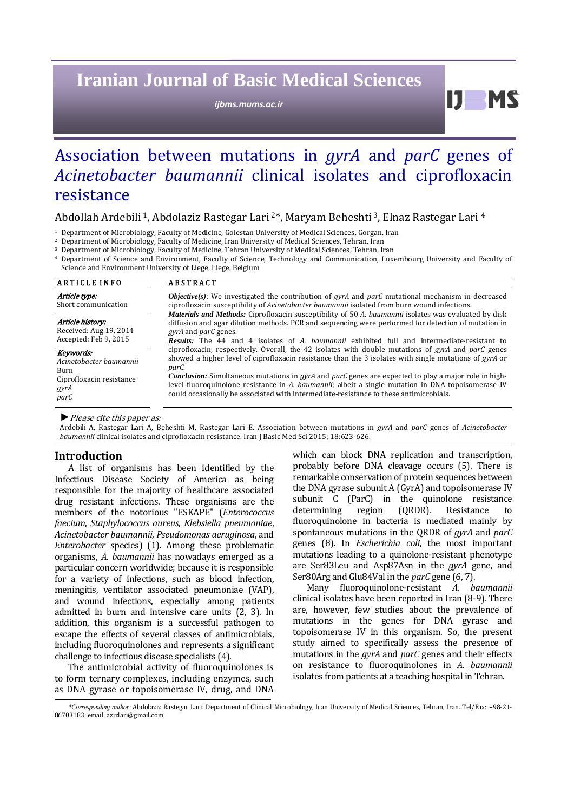# **Iranian Journal of Basic Medical Sciences**

*ijbms.mums.ac.ir*

 $11$  MS

## Association between mutations in *gyrA* and *parC* genes of *Acinetobacter baumannii* clinical isolates and ciprofloxacin resistance

## Abdollah Ardebili<sup>1</sup>, Abdolaziz Rastegar Lari<sup>2\*</sup>, Maryam Beheshti<sup>3</sup>, Elnaz Rastegar Lari<sup>4</sup>

<sup>1</sup> Department of Microbiology, Faculty of Medicine, Golestan University of Medical Sciences, Gorgan, Iran

<sup>2</sup> Department of Microbiology, Faculty of Medicine, Iran University of Medical Sciences, Tehran, Iran

<sup>3</sup> Department of Microbiology, Faculty of Medicine, Tehran University of Medical Sciences, Tehran, Iran

Department of Science and Environment, Faculty of Science, Technology and Communication, Luxembourg University and Faculty of Science and Environment University of Liege, Liege, Belgium

| <b>ABSTRACT</b>                                                                                                                                                                                                                                                                                                                                                                                                                                                                                                                                           |  |  |  |  |  |  |  |
|-----------------------------------------------------------------------------------------------------------------------------------------------------------------------------------------------------------------------------------------------------------------------------------------------------------------------------------------------------------------------------------------------------------------------------------------------------------------------------------------------------------------------------------------------------------|--|--|--|--|--|--|--|
| <b><i>Objective(s)</i></b> : We investigated the contribution of gyrA and parC mutational mechanism in decreased<br>ciprofloxacin susceptibility of Acinetobacter baumannii isolated from burn wound infections.                                                                                                                                                                                                                                                                                                                                          |  |  |  |  |  |  |  |
| <b>Materials and Methods:</b> Ciprofloxacin susceptibility of 50 A. baumannii isolates was evaluated by disk<br>diffusion and agar dilution methods. PCR and sequencing were performed for detection of mutation in<br>gyrA and parC genes.<br>Results: The 44 and 4 isolates of A. baumannii exhibited full and intermediate-resistant to                                                                                                                                                                                                                |  |  |  |  |  |  |  |
| ciprofloxacin, respectively. Overall, the 42 isolates with double mutations of <i>gyrA</i> and <i>parC</i> genes<br>showed a higher level of ciprofloxacin resistance than the 3 isolates with single mutations of <i>gyrA</i> or<br>parC.<br><b>Conclusion:</b> Simultaneous mutations in gyrA and parC genes are expected to play a major role in high-<br>level fluoroquinolone resistance in A. baumannii; albeit a single mutation in DNA topoisomerase IV<br>could occasionally be associated with intermediate-resistance to these antimicrobials. |  |  |  |  |  |  |  |
|                                                                                                                                                                                                                                                                                                                                                                                                                                                                                                                                                           |  |  |  |  |  |  |  |

▶ *Please cite this paper as:* 

Ardebili A, Rastegar Lari A, Beheshti M, Rastegar Lari E. Association between mutations in *gyrA* and *parC* genes of Acinetobacter *baumannii* clinical isolates and ciprofloxacin resistance. Iran J Basic Med Sci 2015; 18:623-626.

## **Introduction**

A list of organisms has been identified by the Infectious Disease Society of America as being responsible for the majority of healthcare associated drug resistant infections. These organisms are the members of the notorious "ESKAPE" (*Enterococcus faecium*, *Staphylococcus aureus*, *Klebsiella pneumoniae*, *Acinetobacter baumannii*, *Pseudomonas aeruginosa*, and *Enterobacter* species) (1). Among these problematic organisms, A. *baumannii* has nowadays emerged as a particular concern worldwide; because it is responsible for a variety of infections, such as blood infection, meningitis, ventilator associated pneumoniae (VAP), and wound infections, especially among patients admitted in burn and intensive care units (2, 3). In addition, this organism is a successful pathogen to escape the effects of several classes of antimicrobials, including fluoroquinolones and represents a significant challenge to infectious disease specialists (4).

The antimicrobial activity of fluoroquinolones is to form ternary complexes, including enzymes, such as DNA gyrase or topoisomerase IV, drug, and DNA which can block DNA replication and transcription, probably before DNA cleavage occurs (5). There is remarkable conservation of protein sequences between the DNA gyrase subunit A (GyrA) and topoisomerase IV subunit C (ParC) in the quinolone resistance determining region (QRDR). Resistance to fluoroquinolone in bacteria is mediated mainly by spontaneous mutations in the QRDR of *gyrA* and *parC* genes (8). In *Escherichia coli*, the most important mutations leading to a quinolone-resistant phenotype are Ser83Leu and Asp87Asn in the *avrA* gene, and Ser80Arg and Glu84Val in the *parC* gene (6, 7).

Many fluoroquinolone‐resistant *A. baumannii* clinical isolates have been reported in Iran (8-9). There are, however, few studies about the prevalence of mutations in the genes for DNA gyrase and topoisomerase IV in this organism. So, the present study aimed to specifically assess the presence of mutations in the *gyrA* and *parC* genes and their effects on resistance to fluoroquinolones in *A. baumannii* isolates from patients at a teaching hospital in Tehran.

*<sup>\*</sup>Corresponding author:* Abdolaziz Rastegar Lari. Department of Clinical Microbiology, Iran University of Medical Sciences, Tehran, Iran. Tel/Fax: +98‐21‐ 86703183; email: azizlari@gmail.com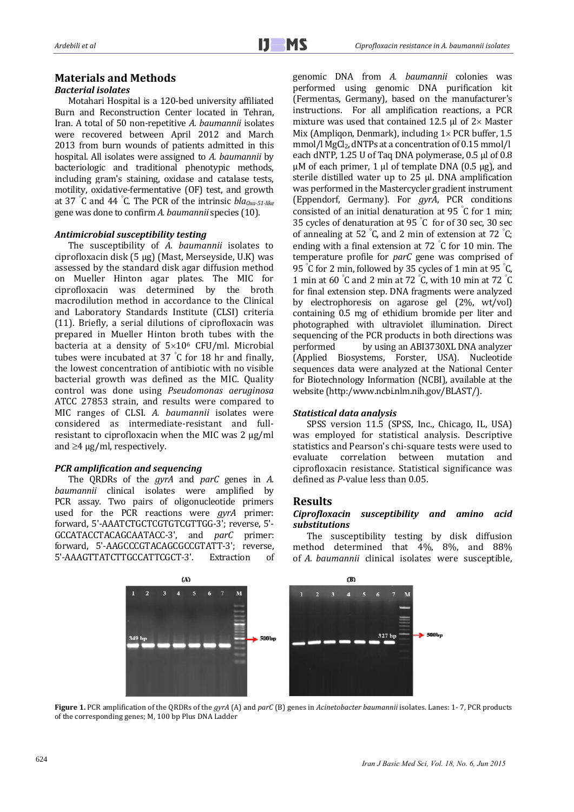## **Materials and Methods**

#### *Bacterial isolates*

Motahari Hospital is a 120-bed university affiliated Burn and Reconstruction Center located in Tehran, Iran. A total of 50 non‐repetitive *A. baumannii* isolates were recovered between April 2012 and March 2013 from burn wounds of patients admitted in this hospital. All isolates were assigned to A. *baumannii* by bacteriologic and traditional phenotypic methods, including gram's staining, oxidase and catalase tests, motility, oxidative-fermentative (OF) test, and growth at 37 °C and 44 °C. The PCR of the intrinsic *bla*<sub>0xa</sub><sub>-51</sub>*-like* gene was done to confirm *A. baumannii* species (10).

### *Antimicrobial susceptibility testing*

The susceptibility of *A. baumannii* isolates to ciprofloxacin disk  $(5 \mu g)$  (Mast, Merseyside, U.K) was assessed by the standard disk agar diffusion method on Mueller Hinton agar plates. The MIC for ciprofloxacin was determined by the broth macrodilution method in accordance to the Clinical and Laboratory Standards Institute (CLSI) criteria (11). Briefly, a serial dilutions of ciprofloxacin was prepared in Mueller Hinton broth tubes with the bacteria at a density of  $5\times10^6$  CFU/ml. Microbial tubes were incubated at 37  $\degree$ C for 18 hr and finally, the lowest concentration of antibiotic with no visible bacterial growth was defined as the MIC. Quality control was done using *Pseudomonas aeruginosa* ATCC 27853 strain, and results were compared to MIC ranges of CLSI. A. baumannii isolates were considered as intermediate-resistant and fullresistant to ciprofloxacin when the MIC was  $2 \mu g/ml$ and  $\geq$ 4 µg/ml, respectively.

## *PCR amplification and sequencing*

The QRDRs of the *gyrA* and *parC* genes in *A*. *baumannii* clinical isolates were amplified by PCR assay. Two pairs of oligonucleotide primers used for the PCR reactions were *gyrA* primer: forward, 5'-AAATCTGCTCGTGTCGTTGG-3'; reverse, 5'-GCCATACCTACAGCAATACC-3', and *parC* primer: forward, 5'-AAGCCCGTACAGCGCCGTATT-3'; reverse. 5'-AAAGTTATCTTGCCATTCGCT-3'. Extraction of genomic DNA from *A. baumannii* colonies was performed using genomic DNA purification kit (Fermentas, Germany), based on the manufacturer's instructions. For all amplification reactions, a PCR mixture was used that contained 12.5  $\mu$ l of 2 $\times$  Master Mix (Ampliqon, Denmark), including  $1 \times PCR$  buffer, 1.5 mmol/l MgCl<sub>2</sub>, dNTPs at a concentration of  $0.15$  mmol/l each dNTP, 1.25 U of Taq DNA polymerase, 0.5 µl of 0.8  $\mu$ M of each primer, 1  $\mu$ l of template DNA (0.5  $\mu$ g), and sterile distilled water up to 25 µl. DNA amplification was performed in the Mastercycler gradient instrument (Eppendorf, Germany). For *gyrA*, PCR conditions consisted of an initial denaturation at 95  $\degree$ C for 1 min; 35 cycles of denaturation at 95  $\degree$ C for of 30 sec, 30 sec of annealing at 52  $\degree$ C, and 2 min of extension at 72  $\degree$ C; ending with a final extension at 72  $\degree$ C for 10 min. The temperature profile for *parC* gene was comprised of 95  $\degree$ C for 2 min, followed by 35 cycles of 1 min at 95  $\degree$ C, 1 min at 60  $\degree$ C and 2 min at 72  $\degree$ C, with 10 min at 72  $\degree$ C for final extension step. DNA fragments were analyzed by electrophoresis on agarose gel  $(2\% , wt/vol)$ containing 0.5 mg of ethidium bromide per liter and photographed with ultraviolet illumination. Direct sequencing of the PCR products in both directions was performed by using an ABI3730XL DNA analyzer (Applied Biosystems, Forster, USA). Nucleotide sequences data were analyzed at the National Center for Biotechnology Information (NCBI), available at the website (http:/www.ncbi.nlm.nih.gov/BLAST/).

#### *Statistical data analysis*

SPSS version 11.5 (SPSS, Inc., Chicago, IL, USA) was employed for statistical analysis. Descriptive statistics and Pearson's chi-square tests were used to evaluate correlation between mutation and ciprofloxacin resistance. Statistical significance was defined as *P*-value less than 0.05.

## **Results**

## *Ciprofloxacin susceptibility and amino acid substitutions*

The susceptibility testing by disk diffusion method determined that 4%, 8%, and 88% of *A. baumannii* clinical isolates were susceptible,



Figure 1. PCR amplification of the QRDRs of the *gyrA* (A) and *parC* (B) genes in *Acinetobacter baumannii* isolates. Lanes: 1- 7, PCR products of the corresponding genes; M, 100 bp Plus DNA Ladder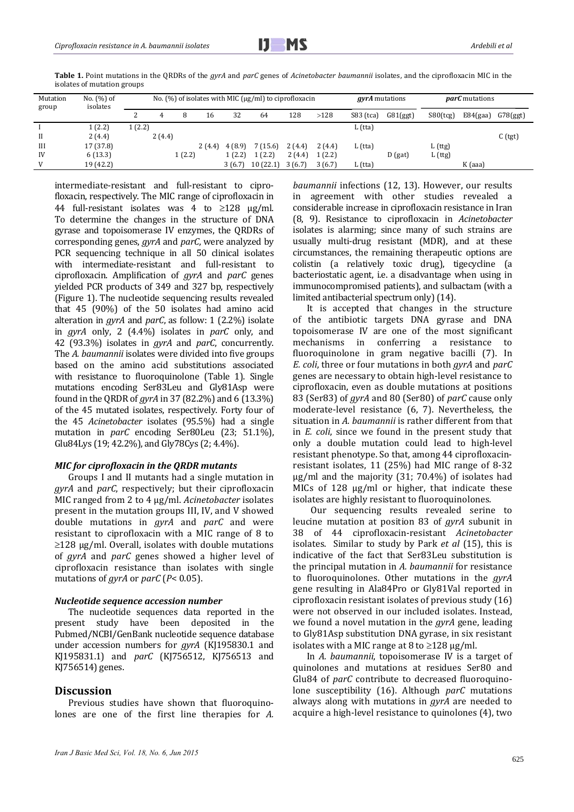

| Mutation<br>group | No. $(\%)$ of<br>isolates | No. $(\%)$ of isolates with MIC ( $\mu$ g/ml) to ciprofloxacin<br><i>gyrA</i> mutations |        |        |        |         |          |         |        |             | <i>parC</i> mutations |           |          |           |
|-------------------|---------------------------|-----------------------------------------------------------------------------------------|--------|--------|--------|---------|----------|---------|--------|-------------|-----------------------|-----------|----------|-----------|
|                   |                           |                                                                                         | 4      |        | 16     | 32      | 64       | 128     | >128   | $S83$ (tca) | G81(ggt)              | S80(tcg)  | E84(gaa) | G78(ggt)  |
|                   | (2.2)                     | (2.2)                                                                                   |        |        |        |         |          |         |        | L (tta)     |                       |           |          |           |
| H                 | 2(4.4)                    |                                                                                         | 2(4.4) |        |        |         |          |         |        |             |                       |           |          | $C$ (tgt) |
| III               | 17 (37.8)                 |                                                                                         |        |        | 2(4.4) | 4(8.9)  | 7 (15.6) | 2(4.4)  | 2(4.4) | L (tta)     |                       | L(ttg)    |          |           |
| IV                | 6(13.3)                   |                                                                                         |        | 1(2.2) |        | 1(2.2)  | (2.2)    | 2(4.4)  | 1(2.2) |             | $D$ (gat)             | $L$ (ttg) |          |           |
| V                 | 19 (42.2)                 |                                                                                         |        |        |        | 3 (6.7) | 10(22.1) | 3 (6.7) | 3(6.7) | $L$ (tta)   |                       |           | K (aaa)  |           |

Table 1. Point mutations in the QRDRs of the *gyrA* and *parC* genes of *Acinetobacter baumannii* isolates, and the ciprofloxacin MIC in the isolates of mutation groups

intermediate-resistant and full-resistant to ciprofloxacin, respectively. The MIC range of ciprofloxacin in 44 full-resistant isolates was 4 to  $\geq$ 128 ug/ml. To determine the changes in the structure of DNA gyrase and topoisomerase IV enzymes, the ORDRs of corresponding genes, *gyrA* and *parC*, were analyzed by PCR sequencing technique in all 50 clinical isolates with intermediate-resistant and full-resistant to ciprofloxacin. Amplification of *gyrA* and *parC* genes yielded PCR products of 349 and 327 bp, respectively (Figure 1). The nucleotide sequencing results revealed that  $45$  (90%) of the  $50$  isolates had amino acid alteration in *gyrA* and *parC*, as follow: 1 (2.2%) isolate in *gyrA* only, 2 (4.4%) isolates in *parC* only, and 42 (93.3%) isolates in *gyrA* and *parC*, concurrently. The *A. baumannii* isolates were divided into five groups based on the amino acid substitutions associated with resistance to fluoroquinolone (Table 1). Single mutations encoding Ser83Leu and Gly81Asp were found in the QRDR of *gyrA* in 37 (82.2%) and 6 (13.3%) of the 45 mutated isolates, respectively. Forty four of the 45 *Acinetobacter* isolates (95.5%) had a single mutation in *parC* encoding Ser80Leu (23; 51.1%), Glu84Lys  $(19; 42.2\%)$ , and Gly78Cys  $(2; 4.4\%)$ .

### *MIC for ciprofloxacin in the QRDR mutants*

Groups I and II mutants had a single mutation in *gyrA* and *parC*, respectively; but their ciprofloxacin MIC ranged from 2 to 4 µg/ml. *Acinetobacter* isolates present in the mutation groups III, IV, and V showed double mutations in *gyrA* and *parC* and were resistant to ciprofloxacin with a MIC range of  $8$  to  $\geq$ 128 µg/ml. Overall, isolates with double mutations of *gyrA* and *parC* genes showed a higher level of ciprofloxacin resistance than isolates with single mutations of *gyrA* or *parC* (*P*< 0.05).

#### *Nucleotide sequence accession number*

The nucleotide sequences data reported in the present study have been deposited in the Pubmed/NCBI/GenBank nucleotide sequence database under accession numbers for *gyrA* (KJ195830.1 and KJ195831.1) and *parC* (KJ756512, KJ756513 and KJ756514) genes.

### **Discussion**

Previous studies have shown that fluoroquinolones are one of the first line therapies for *A*. *baumannii* infections (12, 13). However, our results in agreement with other studies revealed a considerable increase in ciprofloxacin resistance in Iran (8, 9). Resistance to ciprofloxacin in *Acinetobacter* isolates is alarming; since many of such strains are usually multi-drug resistant (MDR), and at these circumstances, the remaining therapeutic options are colistin (a relatively toxic drug), tigecycline (a bacteriostatic agent, i.e. a disadvantage when using in immunocompromised patients), and sulbactam (with a limited antibacterial spectrum only) (14).

It is accepted that changes in the structure of the antibiotic targets DNA gyrase and DNA topoisomerase IV are one of the most significant mechanisms in conferring a resistance to fluoroquinolone in gram negative bacilli (7). In *E. coli*, three or four mutations in both *gyrA* and *parC* genes are necessary to obtain high-level resistance to ciprofloxacin, even as double mutations at positions 83 (Ser83) of *gyrA* and 80 (Ser80) of *parC* cause only moderate-level resistance (6, 7). Nevertheless, the situation in *A. baumannii* is rather different from that in *E. coli*, since we found in the present study that only a double mutation could lead to high‐level resistant phenotype. So that, among 44 ciprofloxacinresistant isolates,  $11$  (25%) had MIC range of 8-32  $\mu$ g/ml and the majority (31; 70.4%) of isolates had MICs of  $128 \mu g/ml$  or higher, that indicate these isolates are highly resistant to fluoroquinolones.

Our sequencing results revealed serine to leucine mutation at position 83 of *gyrA* subunit in 38 of 44 ciprofloxacin‐resistant *Acinetobacter* isolates. Similar to study by Park *et al* (15), this is indicative of the fact that Ser83Leu substitution is the principal mutation in *A. baumannii* for resistance to fluoroquinolones. Other mutations in the *gyrA* gene resulting in Ala84Pro or Gly81Val reported in ciprofloxacin resistant isolates of previous study  $(16)$ were not observed in our included isolates. Instead, we found a novel mutation in the *avrA* gene, leading to Gly81Asp substitution DNA gyrase, in six resistant isolates with a MIC range at 8 to  $\geq$ 128 µg/ml.

In *A. baumannii*, topoisomerase IV is a target of quinolones and mutations at residues Ser80 and Glu84 of *parC* contribute to decreased fluoroquinolone susceptibility (16). Although *parC* mutations always along with mutations in *gyrA* are needed to acquire a high-level resistance to quinolones (4), two